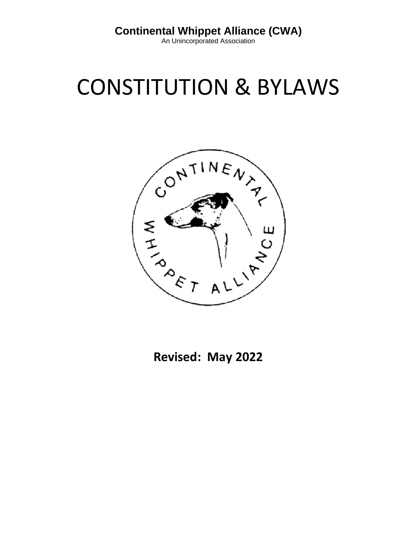An Unincorporated Association

# CONSTITUTION & BYLAWS



**Revised: May 2022**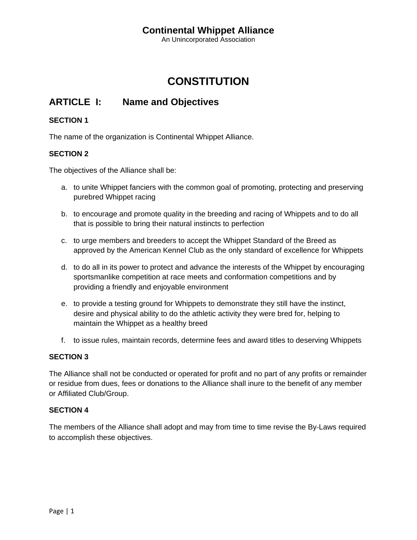An Unincorporated Association

## **CONSTITUTION**

## **ARTICLE I: Name and Objectives**

#### **SECTION 1**

The name of the organization is Continental Whippet Alliance.

#### **SECTION 2**

The objectives of the Alliance shall be:

- a. to unite Whippet fanciers with the common goal of promoting, protecting and preserving purebred Whippet racing
- b. to encourage and promote quality in the breeding and racing of Whippets and to do all that is possible to bring their natural instincts to perfection
- c. to urge members and breeders to accept the Whippet Standard of the Breed as approved by the American Kennel Club as the only standard of excellence for Whippets
- d. to do all in its power to protect and advance the interests of the Whippet by encouraging sportsmanlike competition at race meets and conformation competitions and by providing a friendly and enjoyable environment
- e. to provide a testing ground for Whippets to demonstrate they still have the instinct, desire and physical ability to do the athletic activity they were bred for, helping to maintain the Whippet as a healthy breed
- f. to issue rules, maintain records, determine fees and award titles to deserving Whippets

#### **SECTION 3**

The Alliance shall not be conducted or operated for profit and no part of any profits or remainder or residue from dues, fees or donations to the Alliance shall inure to the benefit of any member or Affiliated Club/Group.

#### **SECTION 4**

The members of the Alliance shall adopt and may from time to time revise the By‐Laws required to accomplish these objectives.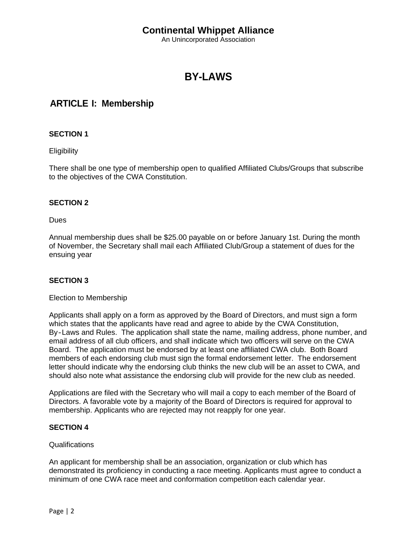An Unincorporated Association

## **BY-LAWS**

## **ARTICLE I: Membership**

#### **SECTION 1**

**Eligibility** 

There shall be one type of membership open to qualified Affiliated Clubs/Groups that subscribe to the objectives of the CWA Constitution.

#### **SECTION 2**

Dues

Annual membership dues shall be \$25.00 payable on or before January 1st. During the month of November, the Secretary shall mail each Affiliated Club/Group a statement of dues for the ensuing year

#### **SECTION 3**

#### Election to Membership

Applicants shall apply on a form as approved by the Board of Directors, and must sign a form which states that the applicants have read and agree to abide by the CWA Constitution, By-Laws and Rules. The application shall state the name, mailing address, phone number, and email address of all club officers, and shall indicate which two officers will serve on the CWA Board. The application must be endorsed by at least one affiliated CWA club. Both Board members of each endorsing club must sign the formal endorsement letter. The endorsement letter should indicate why the endorsing club thinks the new club will be an asset to CWA, and should also note what assistance the endorsing club will provide for the new club as needed.

Applications are filed with the Secretary who will mail a copy to each member of the Board of Directors. A favorable vote by a majority of the Board of Directors is required for approval to membership. Applicants who are rejected may not reapply for one year.

#### **SECTION 4**

#### Qualifications

An applicant for membership shall be an association, organization or club which has demonstrated its proficiency in conducting a race meeting. Applicants must agree to conduct a minimum of one CWA race meet and conformation competition each calendar year.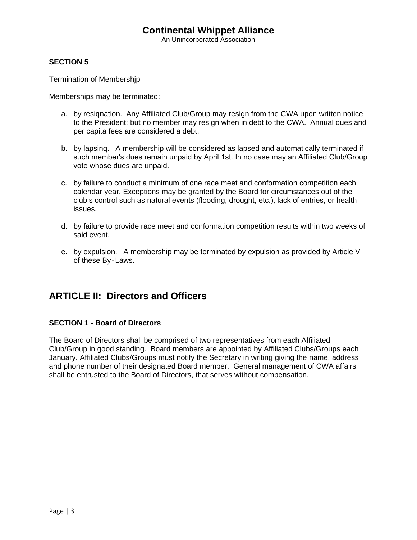An Unincorporated Association

#### **SECTION 5**

Termination of Membershjp

Memberships may be terminated:

- a. by resiqnation. Any Affiliated Club/Group may resign from the CWA upon written notice to the President; but no member may resign when in debt to the CWA. Annual dues and per capita fees are considered a debt.
- b. by lapsinq. A membership will be considered as lapsed and automatically terminated if such member's dues remain unpaid by April 1st. In no case may an Affiliated Club/Group vote whose dues are unpaid.
- c. by failure to conduct a minimum of one race meet and conformation competition each calendar year. Exceptions may be granted by the Board for circumstances out of the club's control such as natural events (flooding, drought, etc.), lack of entries, or health issues.
- d. by failure to provide race meet and conformation competition results within two weeks of said event.
- e. by expulsion. A membership may be terminated by expulsion as provided by Article V of these By‐Laws.

### **ARTICLE II: Directors and Officers**

#### **SECTION 1 - Board of Directors**

The Board of Directors shall be comprised of two representatives from each Affiliated Club/Group in good standing. Board members are appointed by Affiliated Clubs/Groups each January. Affiliated Clubs/Groups must notify the Secretary in writing giving the name, address and phone number of their designated Board member. General management of CWA affairs shall be entrusted to the Board of Directors, that serves without compensation.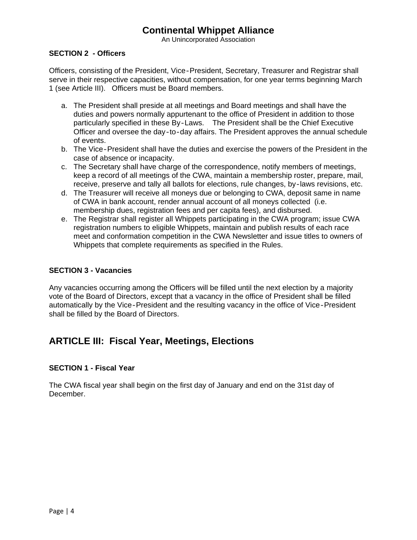An Unincorporated Association

#### **SECTION 2 - Officers**

Officers, consisting of the President, Vice‐President, Secretary, Treasurer and Registrar shall serve in their respective capacities, without compensation, for one year terms beginning March 1 (see Article III). Officers must be Board members.

- a. The President shall preside at all meetings and Board meetings and shall have the duties and powers normally appurtenant to the office of President in addition to those particularly specified in these By‐Laws. The President shall be the Chief Executive Officer and oversee the day‐to‐day affairs. The President approves the annual schedule of events.
- b. The Vice‐President shall have the duties and exercise the powers of the President in the case of absence or incapacity.
- c. The Secretary shall have charge of the correspondence, notify members of meetings, keep a record of all meetings of the CWA, maintain a membership roster, prepare, mail, receive, preserve and tally all ballots for elections, rule changes, by‐laws revisions, etc.
- d. The Treasurer will receive all moneys due or belonging to CWA, deposit same in name of CWA in bank account, render annual account of all moneys collected (i.e. membership dues, registration fees and per capita fees), and disbursed.
- e. The Registrar shall register all Whippets participating in the CWA program; issue CWA registration numbers to eligible Whippets, maintain and publish results of each race meet and conformation competition in the CWA Newsletter and issue titles to owners of Whippets that complete requirements as specified in the Rules.

#### **SECTION 3 - Vacancies**

Any vacancies occurring among the Officers will be filled until the next election by a majority vote of the Board of Directors, except that a vacancy in the office of President shall be filled automatically by the Vice‐President and the resulting vacancy in the office of Vice‐President shall be filled by the Board of Directors.

## **ARTICLE III: Fiscal Year, Meetings, Elections**

#### **SECTION 1 - Fiscal Year**

The CWA fiscal year shall begin on the first day of January and end on the 31st day of December.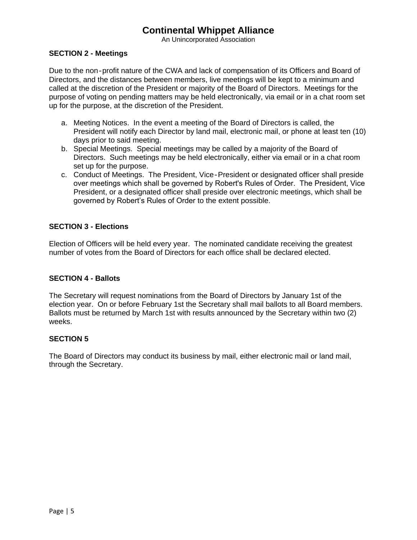An Unincorporated Association

#### **SECTION 2 - Meetings**

Due to the non‐profit nature of the CWA and lack of compensation of its Officers and Board of Directors, and the distances between members, live meetings will be kept to a minimum and called at the discretion of the President or majority of the Board of Directors. Meetings for the purpose of voting on pending matters may be held electronically, via email or in a chat room set up for the purpose, at the discretion of the President.

- a. Meeting Notices. In the event a meeting of the Board of Directors is called, the President will notify each Director by land mail, electronic mail, or phone at least ten (10) days prior to said meeting.
- b. Special Meetings. Special meetings may be called by a majority of the Board of Directors. Such meetings may be held electronically, either via email or in a chat room set up for the purpose.
- c. Conduct of Meetings. The President, Vice‐President or designated officer shall preside over meetings which shall be governed by Robertʹs Rules of Order. The President, Vice President, or a designated officer shall preside over electronic meetings, which shall be governed by Robert's Rules of Order to the extent possible.

#### **SECTION 3 - Elections**

Election of Officers will be held every year. The nominated candidate receiving the greatest number of votes from the Board of Directors for each office shall be declared elected.

#### **SECTION 4 - Ballots**

The Secretary will request nominations from the Board of Directors by January 1st of the election year. On or before February 1st the Secretary shall mail ballots to all Board members. Ballots must be returned by March 1st with results announced by the Secretary within two (2) weeks.

#### **SECTION 5**

The Board of Directors may conduct its business by mail, either electronic mail or land mail, through the Secretary.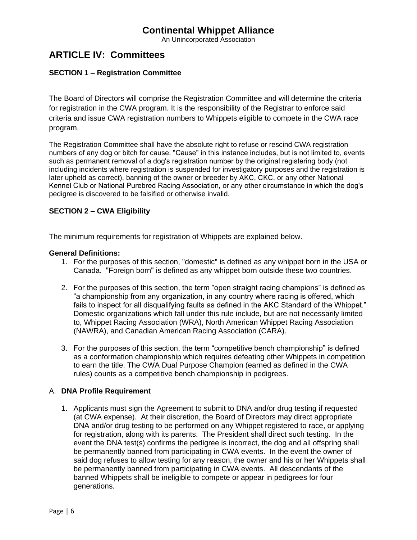An Unincorporated Association

## **ARTICLE IV: Committees**

#### **SECTION 1 – Registration Committee**

The Board of Directors will comprise the Registration Committee and will determine the criteria for registration in the CWA program. It is the responsibility of the Registrar to enforce said criteria and issue CWA registration numbers to Whippets eligible to compete in the CWA race program.

The Registration Committee shall have the absolute right to refuse or rescind CWA registration numbers of any dog or bitch for cause. "Cause" in this instance includes, but is not limited to, events such as permanent removal of a dog's registration number by the original registering body (not including incidents where registration is suspended for investigatory purposes and the registration is later upheld as correct), banning of the owner or breeder by AKC, CKC, or any other National Kennel Club or National Purebred Racing Association, or any other circumstance in which the dog's pedigree is discovered to be falsified or otherwise invalid.

#### **SECTION 2 – CWA Eligibility**

The minimum requirements for registration of Whippets are explained below.

#### **General Definitions:**

- 1. For the purposes of this section, "domestic" is defined as any whippet born in the USA or Canada. "Foreign born" is defined as any whippet born outside these two countries.
- 2. For the purposes of this section, the term "open straight racing champions" is defined as "a championship from any organization, in any country where racing is offered, which fails to inspect for all disqualifying faults as defined in the AKC Standard of the Whippet." Domestic organizations which fall under this rule include, but are not necessarily limited to, Whippet Racing Association (WRA), North American Whippet Racing Association (NAWRA), and Canadian American Racing Association (CARA).
- 3. For the purposes of this section, the term "competitive bench championship" is defined as a conformation championship which requires defeating other Whippets in competition to earn the title. The CWA Dual Purpose Champion (earned as defined in the CWA rules) counts as a competitive bench championship in pedigrees.

#### A. **DNA Profile Requirement**

1. Applicants must sign the Agreement to submit to DNA and/or drug testing if requested (at CWA expense). At their discretion, the Board of Directors may direct appropriate DNA and/or drug testing to be performed on any Whippet registered to race, or applying for registration, along with its parents. The President shall direct such testing. In the event the DNA test(s) confirms the pedigree is incorrect, the dog and all offspring shall be permanently banned from participating in CWA events. In the event the owner of said dog refuses to allow testing for any reason, the owner and his or her Whippets shall be permanently banned from participating in CWA events. All descendants of the banned Whippets shall be ineligible to compete or appear in pedigrees for four generations.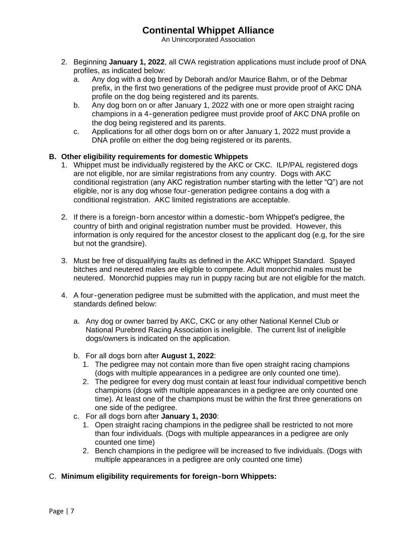An Unincorporated Association

- 2. Beginning **January 1, 2022**, all CWA registration applications must include proof of DNA profiles, as indicated below:
	- a. Any dog with a dog bred by Deborah and/or Maurice Bahm, or of the Debmar prefix, in the first two generations of the pedigree must provide proof of AKC DNA profile on the dog being registered and its parents.
	- b. Any dog born on or after January 1, 2022 with one or more open straight racing champions in a 4‐generation pedigree must provide proof of AKC DNA profile on the dog being registered and its parents.
	- c. Applications for all other dogs born on or after January 1, 2022 must provide a DNA profile on either the dog being registered or its parents.

#### **B. Other eligibility requirements for domestic Whippets**

- 1. Whippet must be individually registered by the AKC or CKC. ILP/PAL registered dogs are not eligible, nor are similar registrations from any country. Dogs with AKC conditional registration (any AKC registration number starting with the letter "Q") are not eligible, nor is any dog whose four‐generation pedigree contains a dog with a conditional registration. AKC limited registrations are acceptable.
- 2. If there is a foreign‐born ancestor within a domestic‐born Whippetʹs pedigree, the country of birth and original registration number must be provided. However, this information is only required for the ancestor closest to the applicant dog (e.g, for the sire but not the grandsire).
- 3. Must be free of disqualifying faults as defined in the AKC Whippet Standard. Spayed bitches and neutered males are eligible to compete. Adult monorchid males must be neutered. Monorchid puppies may run in puppy racing but are not eligible for the match.
- 4. A four‐generation pedigree must be submitted with the application, and must meet the standards defined below:
	- a. Any dog or owner barred by AKC, CKC or any other National Kennel Club or National Purebred Racing Association is ineligible. The current list of ineligible dogs/owners is indicated on the application.
	- b. For all dogs born after **August 1, 2022**:
		- 1. The pedigree may not contain more than five open straight racing champions (dogs with multiple appearances in a pedigree are only counted one time).
		- 2. The pedigree for every dog must contain at least four individual competitive bench champions (dogs with multiple appearances in a pedigree are only counted one time). At least one of the champions must be within the first three generations on one side of the pedigree.
	- c. For all dogs born after **January 1, 2030**:
		- 1. Open straight racing champions in the pedigree shall be restricted to not more than four individuals. (Dogs with multiple appearances in a pedigree are only counted one time)
		- 2. Bench champions in the pedigree will be increased to five individuals. (Dogs with multiple appearances in a pedigree are only counted one time)
- C. **Minimum eligibility requirements for foreign‐born Whippets:**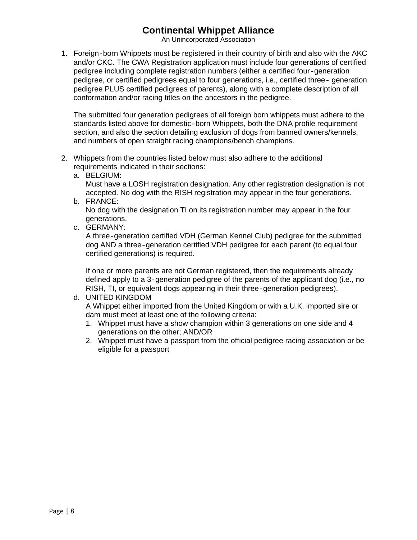An Unincorporated Association

1. Foreign‐born Whippets must be registered in their country of birth and also with the AKC and/or CKC. The CWA Registration application must include four generations of certified pedigree including complete registration numbers (either a certified four‐generation pedigree, or certified pedigrees equal to four generations, i.e., certified three‐ generation pedigree PLUS certified pedigrees of parents), along with a complete description of all conformation and/or racing titles on the ancestors in the pedigree.

The submitted four generation pedigrees of all foreign born whippets must adhere to the standards listed above for domestic-born Whippets, both the DNA profile requirement section, and also the section detailing exclusion of dogs from banned owners/kennels, and numbers of open straight racing champions/bench champions.

- 2. Whippets from the countries listed below must also adhere to the additional requirements indicated in their sections:
	- a. BELGIUM:

Must have a LOSH registration designation. Any other registration designation is not accepted. No dog with the RISH registration may appear in the four generations.

b. FRANCE:

No dog with the designation TI on its registration number may appear in the four generations.

c. GERMANY:

A three‐generation certified VDH (German Kennel Club) pedigree for the submitted dog AND a three‐generation certified VDH pedigree for each parent (to equal four certified generations) is required.

If one or more parents are not German registered, then the requirements already defined apply to a 3‐generation pedigree of the parents of the applicant dog (i.e., no RISH, TI, or equivalent dogs appearing in their three‐generation pedigrees).

- d. UNITED KINGDOM A Whippet either imported from the United Kingdom or with a U.K. imported sire or dam must meet at least one of the following criteria:
	- 1. Whippet must have a show champion within 3 generations on one side and 4 generations on the other; AND/OR
	- 2. Whippet must have a passport from the official pedigree racing association or be eligible for a passport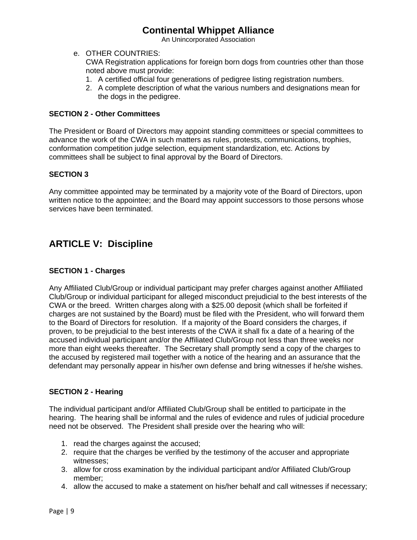An Unincorporated Association

e. OTHER COUNTRIES:

CWA Registration applications for foreign born dogs from countries other than those noted above must provide:

- 1. A certified official four generations of pedigree listing registration numbers.
- 2. A complete description of what the various numbers and designations mean for the dogs in the pedigree.

#### **SECTION 2 - Other Committees**

The President or Board of Directors may appoint standing committees or special committees to advance the work of the CWA in such matters as rules, protests, communications, trophies, conformation competition judge selection, equipment standardization, etc. Actions by committees shall be subject to final approval by the Board of Directors.

#### **SECTION 3**

Any committee appointed may be terminated by a majority vote of the Board of Directors, upon written notice to the appointee; and the Board may appoint successors to those persons whose services have been terminated.

## **ARTICLE V: Discipline**

#### **SECTION 1 - Charges**

Any Affiliated Club/Group or individual participant may prefer charges against another Affiliated Club/Group or individual participant for alleged misconduct prejudicial to the best interests of the CWA or the breed. Written charges along with a \$25.00 deposit (which shall be forfeited if charges are not sustained by the Board) must be filed with the President, who will forward them to the Board of Directors for resolution. If a majority of the Board considers the charges, if proven, to be prejudicial to the best interests of the CWA it shall fix a date of a hearing of the accused individual participant and/or the Affiliated Club/Group not less than three weeks nor more than eight weeks thereafter. The Secretary shall promptly send a copy of the charges to the accused by registered mail together with a notice of the hearing and an assurance that the defendant may personally appear in his/her own defense and bring witnesses if he/she wishes.

#### **SECTION 2 - Hearing**

The individual participant and/or Affiliated Club/Group shall be entitled to participate in the hearing. The hearing shall be informal and the rules of evidence and rules of judicial procedure need not be observed. The President shall preside over the hearing who will:

- 1. read the charges against the accused;
- 2. require that the charges be verified by the testimony of the accuser and appropriate witnesses;
- 3. allow for cross examination by the individual participant and/or Affiliated Club/Group member;
- 4. allow the accused to make a statement on his/her behalf and call witnesses if necessary;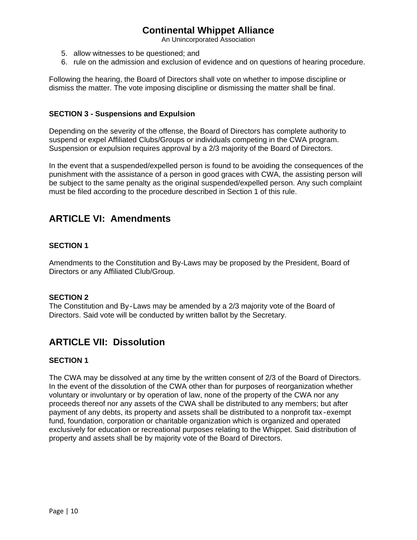An Unincorporated Association

- 5. allow witnesses to be questioned; and
- 6. rule on the admission and exclusion of evidence and on questions of hearing procedure.

Following the hearing, the Board of Directors shall vote on whether to impose discipline or dismiss the matter. The vote imposing discipline or dismissing the matter shall be final.

#### **SECTION 3 - Suspensions and Expulsion**

Depending on the severity of the offense, the Board of Directors has complete authority to suspend or expel Affiliated Clubs/Groups or individuals competing in the CWA program. Suspension or expulsion requires approval by a 2/3 majority of the Board of Directors.

In the event that a suspended/expelled person is found to be avoiding the consequences of the punishment with the assistance of a person in good graces with CWA, the assisting person will be subject to the same penalty as the original suspended/expelled person. Any such complaint must be filed according to the procedure described in Section 1 of this rule.

## **ARTICLE VI: Amendments**

#### **SECTION 1**

Amendments to the Constitution and By-Laws may be proposed by the President, Board of Directors or any Affiliated Club/Group.

#### **SECTION 2**

The Constitution and By‐Laws may be amended by a 2/3 majority vote of the Board of Directors. Said vote will be conducted by written ballot by the Secretary.

## **ARTICLE VII: Dissolution**

#### **SECTION 1**

The CWA may be dissolved at any time by the written consent of 2/3 of the Board of Directors. In the event of the dissolution of the CWA other than for purposes of reorganization whether voluntary or involuntary or by operation of law, none of the property of the CWA nor any proceeds thereof nor any assets of the CWA shall be distributed to any members; but after payment of any debts, its property and assets shall be distributed to a nonprofit tax‐exempt fund, foundation, corporation or charitable organization which is organized and operated exclusively for education or recreational purposes relating to the Whippet. Said distribution of property and assets shall be by majority vote of the Board of Directors.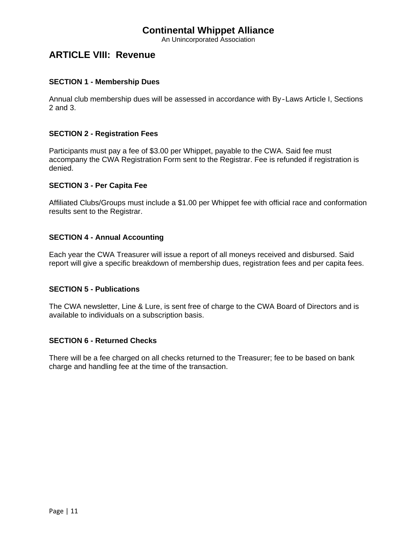An Unincorporated Association

## **ARTICLE VIII: Revenue**

#### **SECTION 1 - Membership Dues**

Annual club membership dues will be assessed in accordance with By‐Laws Article I, Sections 2 and 3.

#### **SECTION 2 - Registration Fees**

Participants must pay a fee of \$3.00 per Whippet, payable to the CWA. Said fee must accompany the CWA Registration Form sent to the Registrar. Fee is refunded if registration is denied.

#### **SECTION 3 - Per Capita Fee**

Affiliated Clubs/Groups must include a \$1.00 per Whippet fee with official race and conformation results sent to the Registrar.

#### **SECTION 4 - Annual Accounting**

Each year the CWA Treasurer will issue a report of all moneys received and disbursed. Said report will give a specific breakdown of membership dues, registration fees and per capita fees.

#### **SECTION 5 - Publications**

The CWA newsletter, Line & Lure, is sent free of charge to the CWA Board of Directors and is available to individuals on a subscription basis.

#### **SECTION 6 - Returned Checks**

There will be a fee charged on all checks returned to the Treasurer; fee to be based on bank charge and handling fee at the time of the transaction.